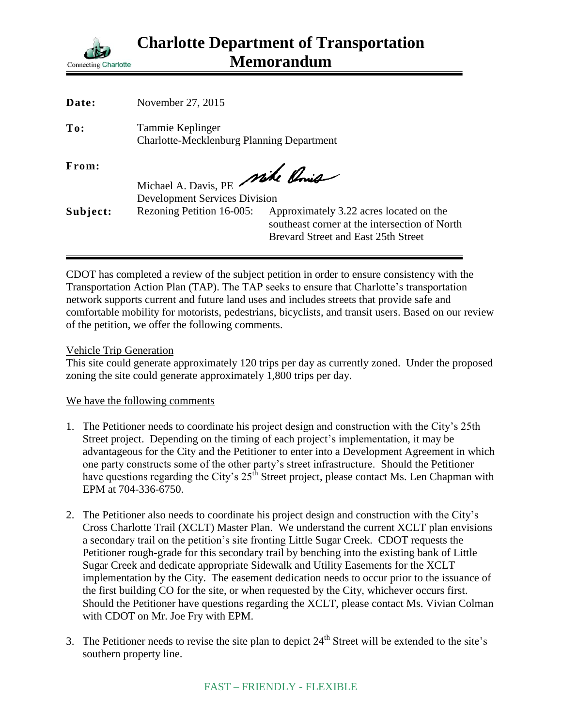

| Date:    | November 27, 2015                                                       |                                                                                                                                 |
|----------|-------------------------------------------------------------------------|---------------------------------------------------------------------------------------------------------------------------------|
| To:      | Tammie Keplinger<br><b>Charlotte-Mecklenburg Planning Department</b>    |                                                                                                                                 |
| From:    | Michael A. Davis, PE Mike Chris<br><b>Development Services Division</b> |                                                                                                                                 |
| Subject: | Rezoning Petition 16-005:                                               | Approximately 3.22 acres located on the<br>southeast corner at the intersection of North<br>Brevard Street and East 25th Street |

CDOT has completed a review of the subject petition in order to ensure consistency with the Transportation Action Plan (TAP). The TAP seeks to ensure that Charlotte's transportation network supports current and future land uses and includes streets that provide safe and comfortable mobility for motorists, pedestrians, bicyclists, and transit users. Based on our review of the petition, we offer the following comments.

Vehicle Trip Generation

This site could generate approximately 120 trips per day as currently zoned. Under the proposed zoning the site could generate approximately 1,800 trips per day.

## We have the following comments

- 1. The Petitioner needs to coordinate his project design and construction with the City's 25th Street project. Depending on the timing of each project's implementation, it may be advantageous for the City and the Petitioner to enter into a Development Agreement in which one party constructs some of the other party's street infrastructure. Should the Petitioner have questions regarding the City's  $25<sup>th</sup>$  Street project, please contact Ms. Len Chapman with EPM at 704-336-6750.
- 2. The Petitioner also needs to coordinate his project design and construction with the City's Cross Charlotte Trail (XCLT) Master Plan. We understand the current XCLT plan envisions a secondary trail on the petition's site fronting Little Sugar Creek. CDOT requests the Petitioner rough-grade for this secondary trail by benching into the existing bank of Little Sugar Creek and dedicate appropriate Sidewalk and Utility Easements for the XCLT implementation by the City. The easement dedication needs to occur prior to the issuance of the first building CO for the site, or when requested by the City, whichever occurs first. Should the Petitioner have questions regarding the XCLT, please contact Ms. Vivian Colman with CDOT on Mr. Joe Fry with EPM.
- 3. The Petitioner needs to revise the site plan to depict  $24<sup>th</sup>$  Street will be extended to the site's southern property line.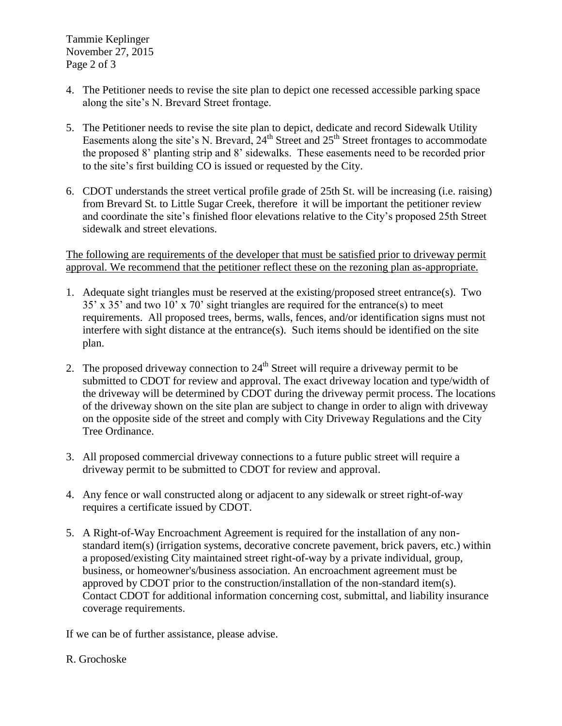Tammie Keplinger November 27, 2015 Page 2 of 3

- 4. The Petitioner needs to revise the site plan to depict one recessed accessible parking space along the site's N. Brevard Street frontage.
- 5. The Petitioner needs to revise the site plan to depict, dedicate and record Sidewalk Utility Easements along the site's N. Brevard,  $24<sup>th</sup>$  Street and  $25<sup>th</sup>$  Street frontages to accommodate the proposed 8' planting strip and 8' sidewalks. These easements need to be recorded prior to the site's first building CO is issued or requested by the City.
- 6. CDOT understands the street vertical profile grade of 25th St. will be increasing (i.e. raising) from Brevard St. to Little Sugar Creek, therefore it will be important the petitioner review and coordinate the site's finished floor elevations relative to the City's proposed 25th Street sidewalk and street elevations.

The following are requirements of the developer that must be satisfied prior to driveway permit approval. We recommend that the petitioner reflect these on the rezoning plan as-appropriate.

- 1. Adequate sight triangles must be reserved at the existing/proposed street entrance(s). Two 35' x 35' and two 10' x 70' sight triangles are required for the entrance(s) to meet requirements. All proposed trees, berms, walls, fences, and/or identification signs must not interfere with sight distance at the entrance(s). Such items should be identified on the site plan.
- 2. The proposed driveway connection to  $24<sup>th</sup>$  Street will require a driveway permit to be submitted to CDOT for review and approval. The exact driveway location and type/width of the driveway will be determined by CDOT during the driveway permit process. The locations of the driveway shown on the site plan are subject to change in order to align with driveway on the opposite side of the street and comply with City Driveway Regulations and the City Tree Ordinance.
- 3. All proposed commercial driveway connections to a future public street will require a driveway permit to be submitted to CDOT for review and approval.
- 4. Any fence or wall constructed along or adjacent to any sidewalk or street right-of-way requires a certificate issued by CDOT.
- 5. A Right-of-Way Encroachment Agreement is required for the installation of any nonstandard item(s) (irrigation systems, decorative concrete pavement, brick pavers, etc.) within a proposed/existing City maintained street right-of-way by a private individual, group, business, or homeowner's/business association. An encroachment agreement must be approved by CDOT prior to the construction/installation of the non-standard item(s). Contact CDOT for additional information concerning cost, submittal, and liability insurance coverage requirements.

If we can be of further assistance, please advise.

## R. Grochoske